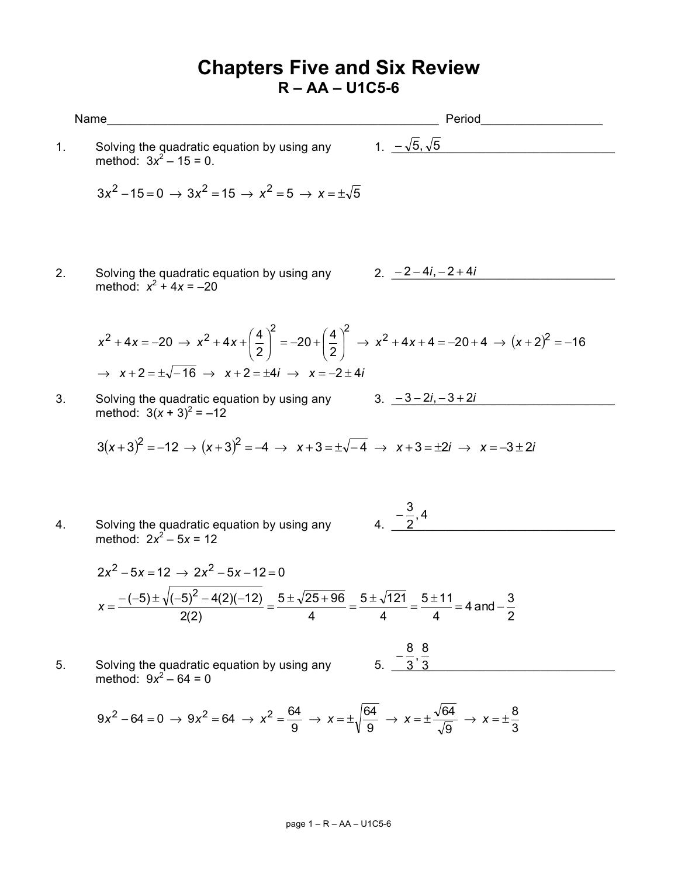## **Chapters Five and Six Review R – AA – U1C5-6**

|    | Name                                                                                                                                                                                                                                                                        | Period                      |
|----|-----------------------------------------------------------------------------------------------------------------------------------------------------------------------------------------------------------------------------------------------------------------------------|-----------------------------|
| 1. | Solving the quadratic equation by using any<br>method: $3x^2 - 15 = 0$ .                                                                                                                                                                                                    | 1. $-\sqrt{5}, \sqrt{5}$    |
|    | $3x^{2} - 15 = 0 \rightarrow 3x^{2} = 15 \rightarrow x^{2} = 5 \rightarrow x = \pm \sqrt{5}$                                                                                                                                                                                |                             |
| 2. | Solving the quadratic equation by using any $2. -2-4i, -2+4i$<br>method: $x^2 + 4x = -20$                                                                                                                                                                                   |                             |
|    | $x^{2} + 4x = -20 \rightarrow x^{2} + 4x + \left(\frac{4}{2}\right)^{2} = -20 + \left(\frac{4}{2}\right)^{2} \rightarrow x^{2} + 4x + 4 = -20 + 4 \rightarrow (x + 2)^{2} = -16$<br>$\rightarrow$ $x+2=\pm\sqrt{-16}$ $\rightarrow$ $x+2=\pm 4i$ $\rightarrow$ $x=-2\pm 4i$ |                             |
| 3. | Solving the quadratic equation by using any $3. -3-2i, -3+2i$<br>method: $3(x + 3)^2 = -12$                                                                                                                                                                                 |                             |
|    | $3(x+3)^2 = -12 \rightarrow (x+3)^2 = -4 \rightarrow x+3 = \pm \sqrt{-4} \rightarrow x+3 = \pm 2i \rightarrow x = -3 \pm 2i$                                                                                                                                                |                             |
| 4. | Solving the quadratic equation by using any<br>method: $2x^2 - 5x = 12$                                                                                                                                                                                                     | $4. -\frac{3}{2}, 4$        |
|    | $2x^{2} - 5x = 12 \rightarrow 2x^{2} - 5x - 12 = 0$<br>$\frac{-(-5) \pm \sqrt{(-5)^2 - 4(2)(-12)}}{2(2)} = \frac{5 \pm \sqrt{25 + 96}}{4} = \frac{5 \pm \sqrt{121}}{4} = \frac{5 \pm 11}{4} = 4$ and $-\frac{3}{2}$<br>$\overline{2(2)}$                                    |                             |
| 5. | Solving the quadratic equation by using any<br>method: $9x^2 - 64 = 0$                                                                                                                                                                                                      | $-\frac{8}{3}, \frac{8}{3}$ |
|    | $9x^2 - 64 = 0 \rightarrow 9x^2 = 64 \rightarrow x^2 = \frac{64}{9} \rightarrow x = \pm \sqrt{\frac{64}{9}} \rightarrow x = \pm \frac{\sqrt{64}}{\sqrt{9}} \rightarrow x = \pm \frac{8}{3}$                                                                                 |                             |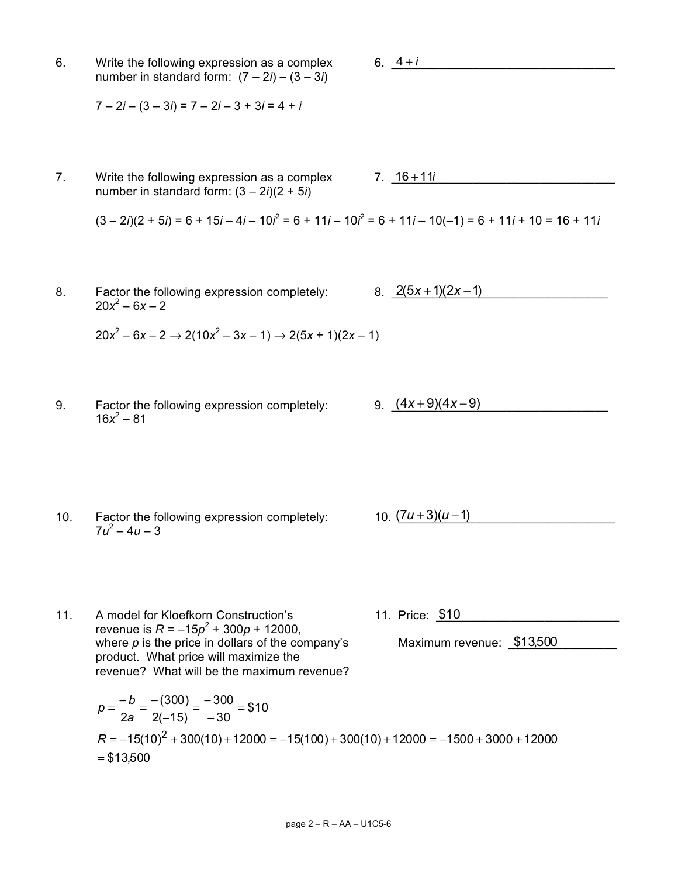6. Write the following expression as a complex number in standard form:  $(7 – 2*i*) – (3 – 3*i*)$ 

 $7 - 2i - (3 - 3i) = 7 - 2i - 3 + 3i = 4 + i$ 

7. Write the following expression as a complex  $7. \quad 16 + 11i$ number in standard form:  $(3 – 2*i*)(2 + 5*i*)$ 

 $(3 – 2i)(2 + 5i) = 6 + 15i – 4i – 10i^2 = 6 + 11i – 10i^2 = 6 + 11i – 10(-1) = 6 + 11i + 10 = 16 + 11i$ 

8. Factor the following expression completely:  $8. \quad \frac{2(5x+1)(2x-1)}{2}$  $20x^2 - 6x - 2$ 

$$
20x^2 - 6x - 2 \rightarrow 2(10x^2 - 3x - 1) \rightarrow 2(5x + 1)(2x - 1)
$$

- 9. Factor the following expression completely:  $9. \frac{(4x+9)(4x-9)}{2}$  $16x^2 - 81$
- 10. Factor the following expression completely:  $10. (7u+3)(u-1)$  $7u^2 - 4u - 3$

revenue is  $R = -15p^2 + 300p + 12000$ , where  $p$  is the price in dollars of the company's product. What price will maximize the revenue? What will be the maximum revenue?

*b*

$$
p = \frac{-b}{2a} = \frac{-(300)}{2(-15)} = \frac{-300}{-30} = $10
$$
  
R = -15(10)<sup>2</sup> + 300(10) + 12000 = -15(100) + 300(10) + 12000 = -1500 + 3000 + 12000  
= \$13,500

11. A model for Kloefkorn Construction's 11. Price: \$10

Maximum revenue: \$13,500

6.  $-4 + i$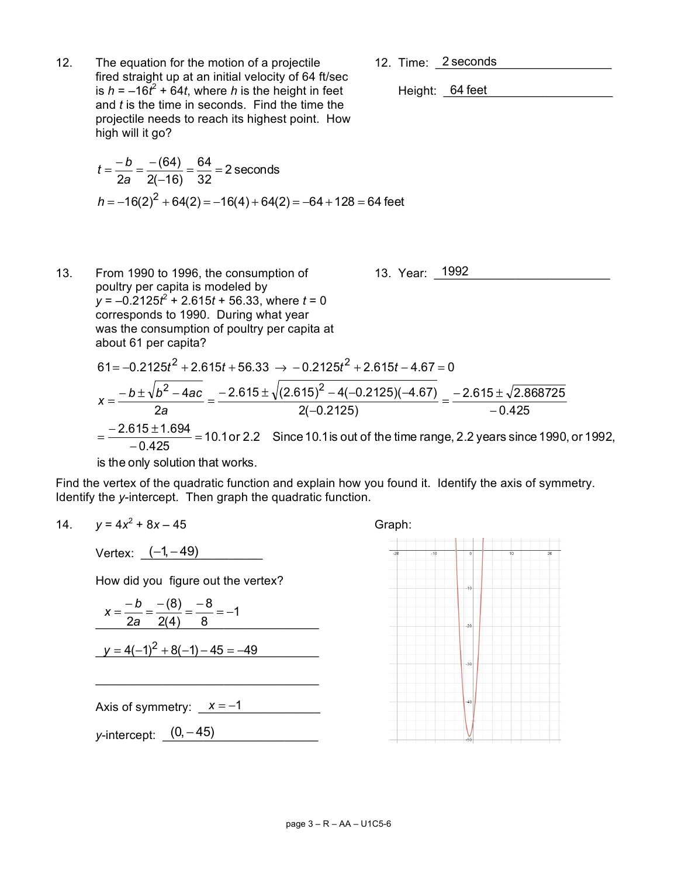12. Time: 2 seconds

12. The equation for the motion of a projectile fired straight up at an initial velocity of 64 ft/sec is  $h = -16t^2 + 64t$ , where *h* is the height in feet Height:  $\underline{64}$  feet and *t* is the time in seconds. Find the time the projectile needs to reach its highest point. How high will it go?

$$
t = \frac{-b}{2a} = \frac{-(64)}{2(-16)} = \frac{64}{32} = 2
$$
 seconds  

$$
h = -16(2)^{2} + 64(2) = -16(4) + 64(2) = -64 + 128 = 64
$$
 feet

Height: 64 feet

13. From 1990 to 1996, the consumption of  
poultry per capita is modeled by  

$$
y = -0.2125t^2 + 2.615t + 56.33
$$
, where  $t = 0$   
corresponds to 1990. During what year  
was the consumption of poultry per capita at  
about 61 per capita?

$$
61 = -0.2125t^2 + 2.615t + 56.33 \rightarrow -0.2125t^2 + 2.615t - 4.67 = 0
$$
\n
$$
x = \frac{-b \pm \sqrt{b^2 - 4ac}}{2a} = \frac{-2.615 \pm \sqrt{(2.615)^2 - 4(-0.2125)(-4.67)}}{2(-0.2125)} = \frac{-2.615 \pm \sqrt{2.868725}}{-0.425}
$$
\n
$$
= \frac{-2.615 \pm 1.694}{-0.425} = 10.1 \text{ or } 2.2 \text{ Since } 10.1 \text{ is out of the time range, } 2.2 \text{ years since } 1990, \text{ or } 1992,
$$
\nis the only solution that works.

is the only solution that works.

Find the vertex of the quadratic function and explain how you found it. Identify the axis of symmetry. Identify the *y*-intercept. Then graph the quadratic function.

14. 
$$
y = 4x^2 + 8x - 45
$$
 Graph:

Vertex: <u>(−1, −49)</u>

How did you figure out the vertex?

$$
x = \frac{-b}{2a} = \frac{-(8)}{2(4)} = \frac{-8}{8} = -1
$$
  

$$
y = 4(-1)^2 + 8(-1) - 45 = -49
$$

\_\_\_\_\_\_\_\_\_\_\_\_\_\_\_\_\_\_\_\_\_\_\_\_\_\_\_\_\_\_\_\_\_

Axis of symmetry:  $x = -1$ 

*y*-intercept: <u>(</u>0,−45)



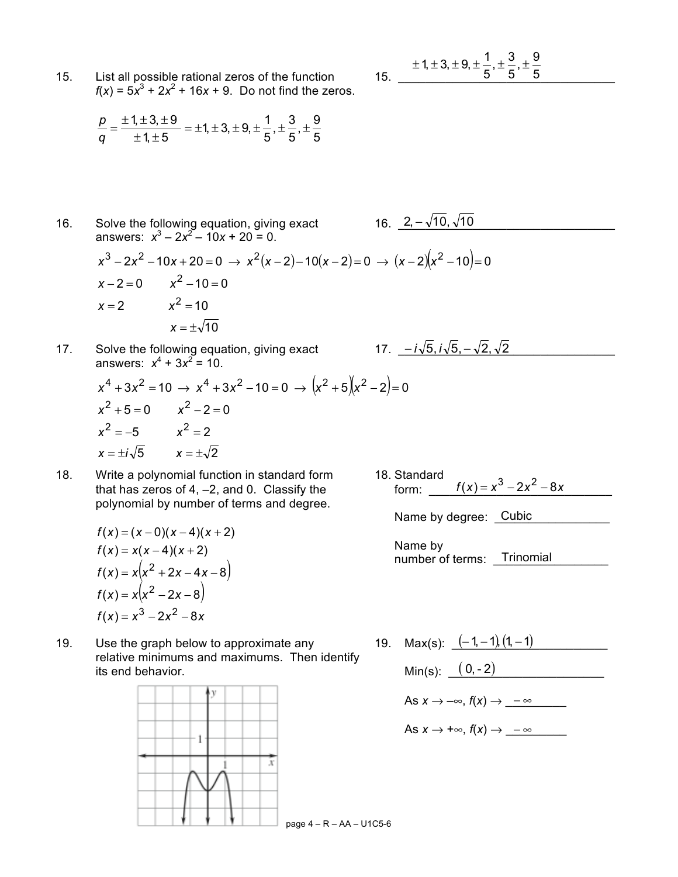15. List all possible rational zeros of the function  $f(x) = 5x^3 + 2x^2 + 16x + 9$ . Do not find the zeros.

15. 
$$
\pm 1, \pm 3, \pm 9, \pm \frac{1}{5}, \pm \frac{3}{5}, \pm \frac{9}{5}
$$

2, – √10, √10

*− i* √5, *i* √5, − √2, √2

$$
\frac{p}{q} = \frac{\pm 1, \pm 3, \pm 9}{\pm 1, \pm 5} = \pm 1, \pm 3, \pm 9, \pm \frac{1}{5}, \pm \frac{3}{5}, \pm \frac{9}{5}
$$

16. Solve the following equation, giving exact  $16. \quad 2, -\sqrt{10}, \sqrt{10}$ answers:  $x^3 - 2x^2 - 10x + 20 = 0$ .

- $x^3 2x^2 10x + 20 = 0 \rightarrow x^2(x-2) 10(x-2) = 0 \rightarrow (x-2)(x^2 10) = 0$  $x = \pm \sqrt{10}$  $x = 2$   $x^2 = 10$  $x - 2 = 0$   $x^2 - 10 = 0$
- 17. Solve the following equation, giving exact  $17. -i\sqrt{5}, i\sqrt{5}, -\sqrt{2}, \sqrt{2}$ answers:  $x^4 + 3x^2 = 10$ .

$$
x4 + 3x2 = 10 \rightarrow x4 + 3x2 - 10 = 0 \rightarrow (x2 + 5)(x2 - 2) = 0
$$
  
\n
$$
x2 + 5 = 0 \qquad x2 - 2 = 0
$$
  
\n
$$
x2 = -5 \qquad x2 = 2
$$
  
\n
$$
x = \pm i\sqrt{5} \qquad x = \pm \sqrt{2}
$$

18. Write a polynomial function in standard form 18. Standard<br>that has zeros of 4, -2, and 0. Classify the form: that has zeros of 4, –2, and 0. Classify the form:  $f(x) = x^3 - 2x^2 - 8x$ polynomial by number of terms and degree.

$$
f(x) = (x - 0)(x - 4)(x + 2)
$$
  
f(x) = x(x - 4)(x + 2)  
f(x) = x(x<sup>2</sup> + 2x - 4x - 8)  
f(x) = x(x<sup>2</sup> - 2x - 8)  
f(x) = x<sup>3</sup> - 2x<sup>2</sup> - 8x

19. Use the graph below to approximate any  $19. \quad \text{Max(s):} \quad \frac{(-1, -1)}{(1, -1)}$ relative minimums and maximums. Then identify its end behavior.  $\text{Min(s):} \quad (0, -2)$ 



Name by degree: Cubic

Name by number of terms: Trinomial

As  $x \to -\infty$ ,  $f(x) \to -\infty$ 

As 
$$
x \to +\infty
$$
,  $f(x) \to -\infty$